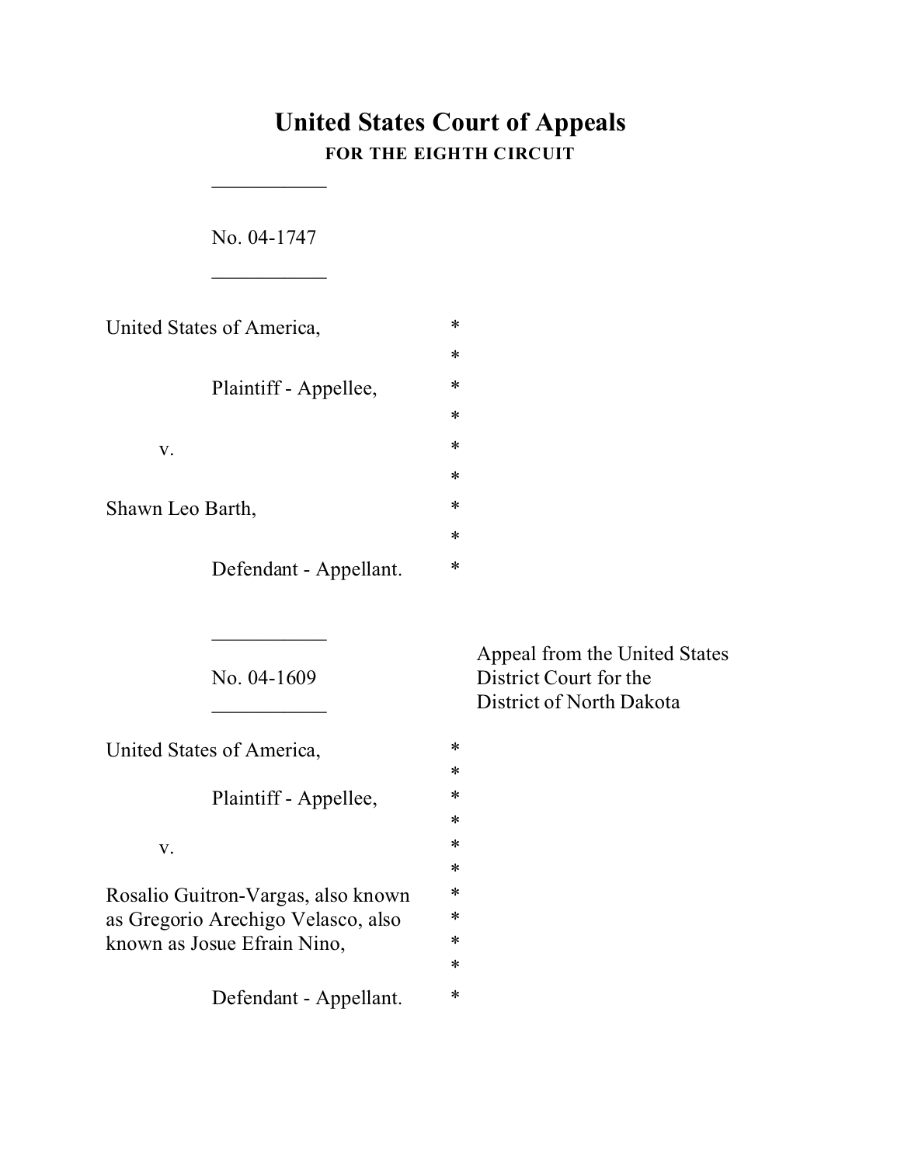# **United States Court of Appeals FOR THE EIGHTH CIRCUIT**

\*

\*

\*

\*

No. 04-1747

 $\overline{\phantom{a}}$  . The set of the set of the set of the set of the set of the set of the set of the set of the set of the set of the set of the set of the set of the set of the set of the set of the set of the set of the set o

 $\overline{\phantom{a}}$  . The set of the set of the set of the set of the set of the set of the set of the set of the set of the set of the set of the set of the set of the set of the set of the set of the set of the set of the set o

| United States of America, | * |
|---------------------------|---|
|                           | * |
| Plaintiff - Appellee,     | ∗ |
|                           | * |
| $V_{\rm A}$               | ∗ |
|                           | ∗ |
| Shawn Leo Barth,          | ∗ |
|                           | ∗ |
| Defendant - Appellant.    | ∗ |

 $\frac{1}{2}$ 

United States of America,  $*$ 

Plaintiff - Appellee,  $*$ 

 $V.$  \*

Rosalio Guitron-Vargas, also known \* as Gregorio Arechigo Velasco, also \* known as Josue Efrain Nino,  $*$ 

Defendant - Appellant.  $*$ 

Appeal from the United States No. 04-1609 District Court for the District of North Dakota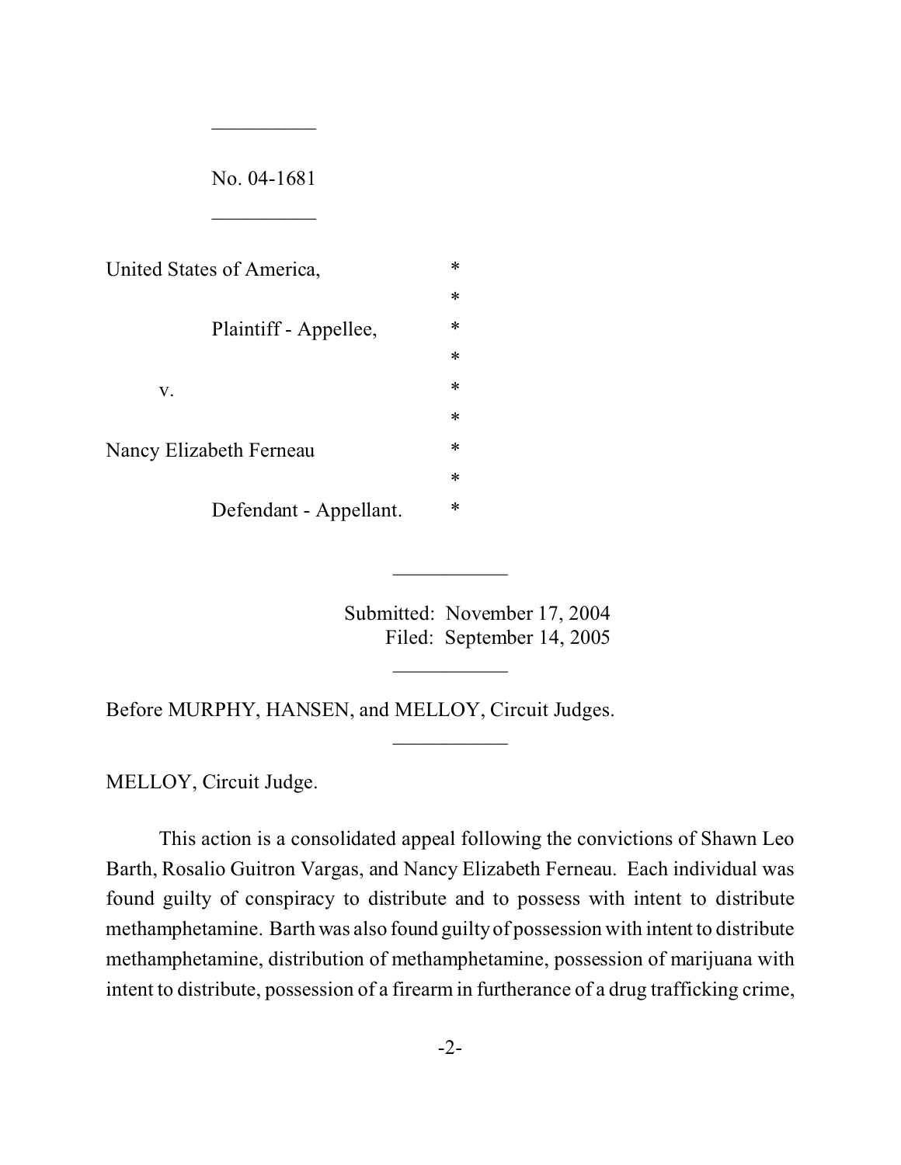| No. 04-1681                    |   |
|--------------------------------|---|
|                                |   |
| United States of America,      | ∗ |
|                                | ∗ |
| Plaintiff - Appellee,          | ∗ |
|                                | ∗ |
| V.                             | ∗ |
|                                | ∗ |
| <b>Nancy Elizabeth Ferneau</b> | ∗ |
|                                | ∗ |
| Defendant - Appellant.         | ∗ |

 $\frac{1}{2}$ 

Submitted: November 17, 2004 Filed: September 14, 2005

 $\frac{1}{2}$ 

 $\frac{1}{2}$ 

 $\frac{1}{2}$ 

Before MURPHY, HANSEN, and MELLOY, Circuit Judges.

MELLOY, Circuit Judge.

This action is a consolidated appeal following the convictions of Shawn Leo Barth, Rosalio Guitron Vargas, and Nancy Elizabeth Ferneau. Each individual was found guilty of conspiracy to distribute and to possess with intent to distribute methamphetamine. Barth was also found guilty of possession with intent to distribute methamphetamine, distribution of methamphetamine, possession of marijuana with intent to distribute, possession of a firearm in furtherance of a drug trafficking crime,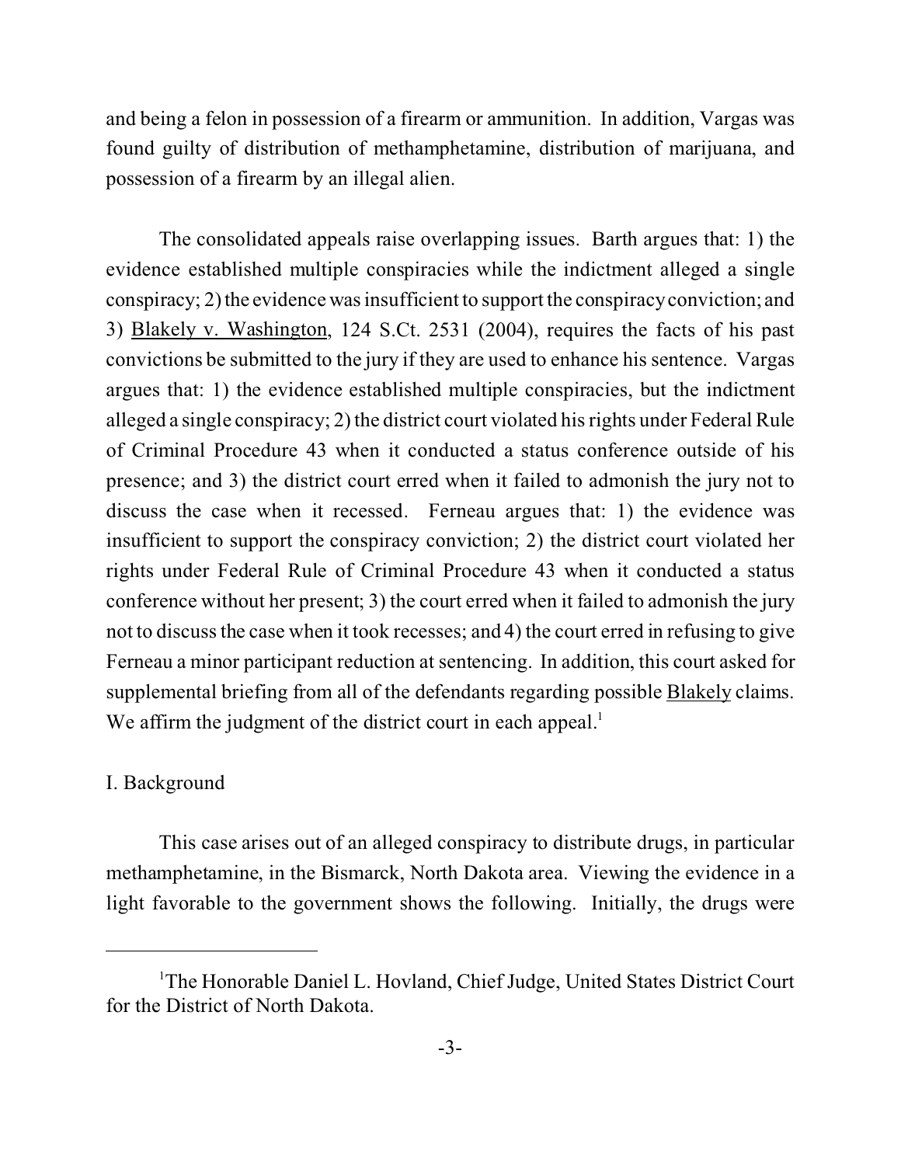and being a felon in possession of a firearm or ammunition. In addition, Vargas was found guilty of distribution of methamphetamine, distribution of marijuana, and possession of a firearm by an illegal alien.

The consolidated appeals raise overlapping issues. Barth argues that: 1) the evidence established multiple conspiracies while the indictment alleged a single conspiracy; 2) the evidence was insufficient to support the conspiracy conviction; and 3) Blakely v. Washington, 124 S.Ct. 2531 (2004), requires the facts of his past convictions be submitted to the jury if they are used to enhance his sentence. Vargas argues that: 1) the evidence established multiple conspiracies, but the indictment alleged a single conspiracy; 2) the district court violated his rights under Federal Rule of Criminal Procedure 43 when it conducted a status conference outside of his presence; and 3) the district court erred when it failed to admonish the jury not to discuss the case when it recessed. Ferneau argues that: 1) the evidence was insufficient to support the conspiracy conviction; 2) the district court violated her rights under Federal Rule of Criminal Procedure 43 when it conducted a status conference without her present; 3) the court erred when it failed to admonish the jury not to discuss the case when it took recesses; and 4) the court erred in refusing to give Ferneau a minor participant reduction at sentencing. In addition, this court asked for supplemental briefing from all of the defendants regarding possible Blakely claims. We affirm the judgment of the district court in each appeal.<sup>1</sup>

#### I. Background

This case arises out of an alleged conspiracy to distribute drugs, in particular methamphetamine, in the Bismarck, North Dakota area. Viewing the evidence in a light favorable to the government shows the following. Initially, the drugs were

<sup>&</sup>lt;sup>1</sup>The Honorable Daniel L. Hovland, Chief Judge, United States District Court for the District of North Dakota.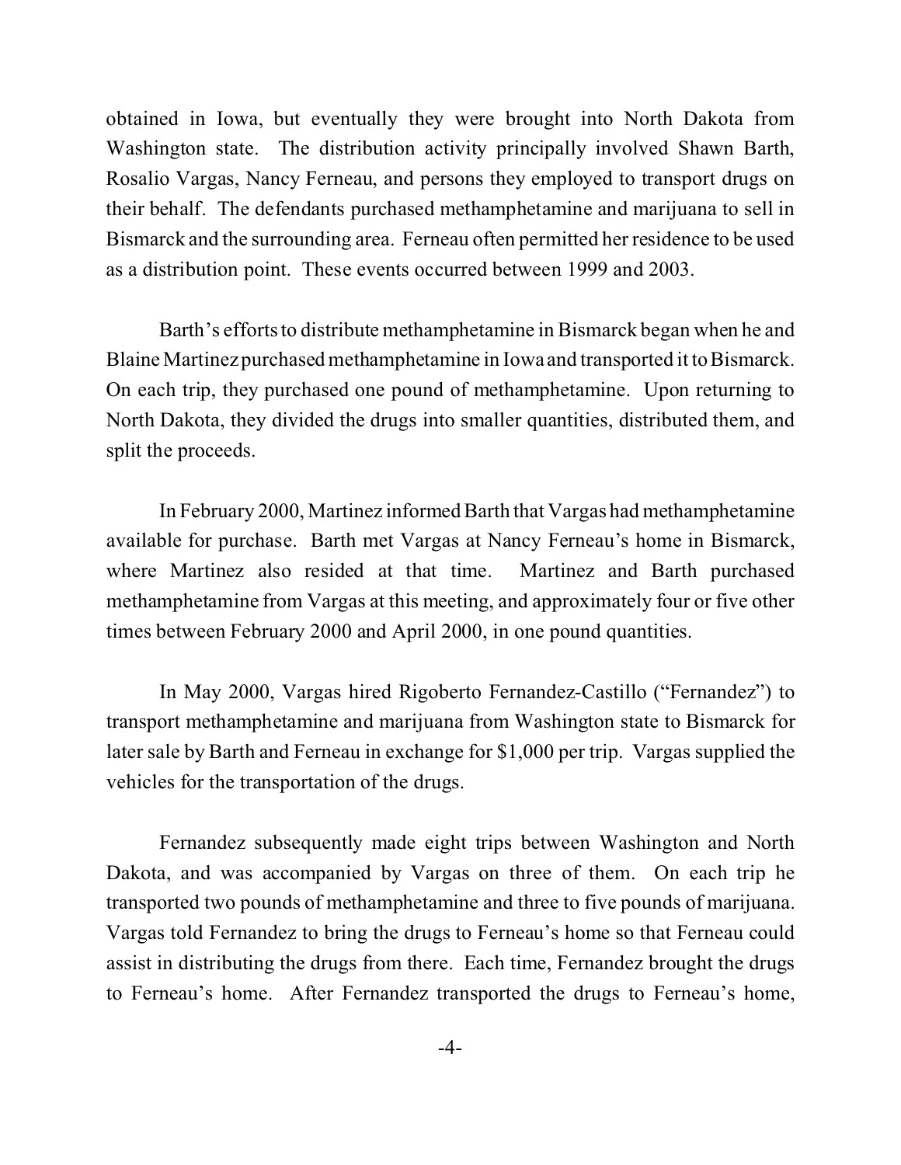obtained in Iowa, but eventually they were brought into North Dakota from Washington state. The distribution activity principally involved Shawn Barth, Rosalio Vargas, Nancy Ferneau, and persons they employed to transport drugs on their behalf. The defendants purchased methamphetamine and marijuana to sell in Bismarck and the surrounding area. Ferneau often permitted her residence to be used as a distribution point. These events occurred between 1999 and 2003.

Barth's efforts to distribute methamphetamine in Bismarck began when he and Blaine Martinez purchased methamphetamine in Iowa and transported it to Bismarck. On each trip, they purchased one pound of methamphetamine. Upon returning to North Dakota, they divided the drugs into smaller quantities, distributed them, and split the proceeds.

In February 2000, Martinez informed Barth that Vargas had methamphetamine available for purchase. Barth met Vargas at Nancy Ferneau's home in Bismarck, where Martinez also resided at that time. Martinez and Barth purchased methamphetamine from Vargas at this meeting, and approximately four or five other times between February 2000 and April 2000, in one pound quantities.

In May 2000, Vargas hired Rigoberto Fernandez-Castillo ("Fernandez") to transport methamphetamine and marijuana from Washington state to Bismarck for later sale by Barth and Ferneau in exchange for \$1,000 per trip. Vargas supplied the vehicles for the transportation of the drugs.

Fernandez subsequently made eight trips between Washington and North Dakota, and was accompanied by Vargas on three of them. On each trip he transported two pounds of methamphetamine and three to five pounds of marijuana. Vargas told Fernandez to bring the drugs to Ferneau's home so that Ferneau could assist in distributing the drugs from there. Each time, Fernandez brought the drugs to Ferneau's home. After Fernandez transported the drugs to Ferneau's home,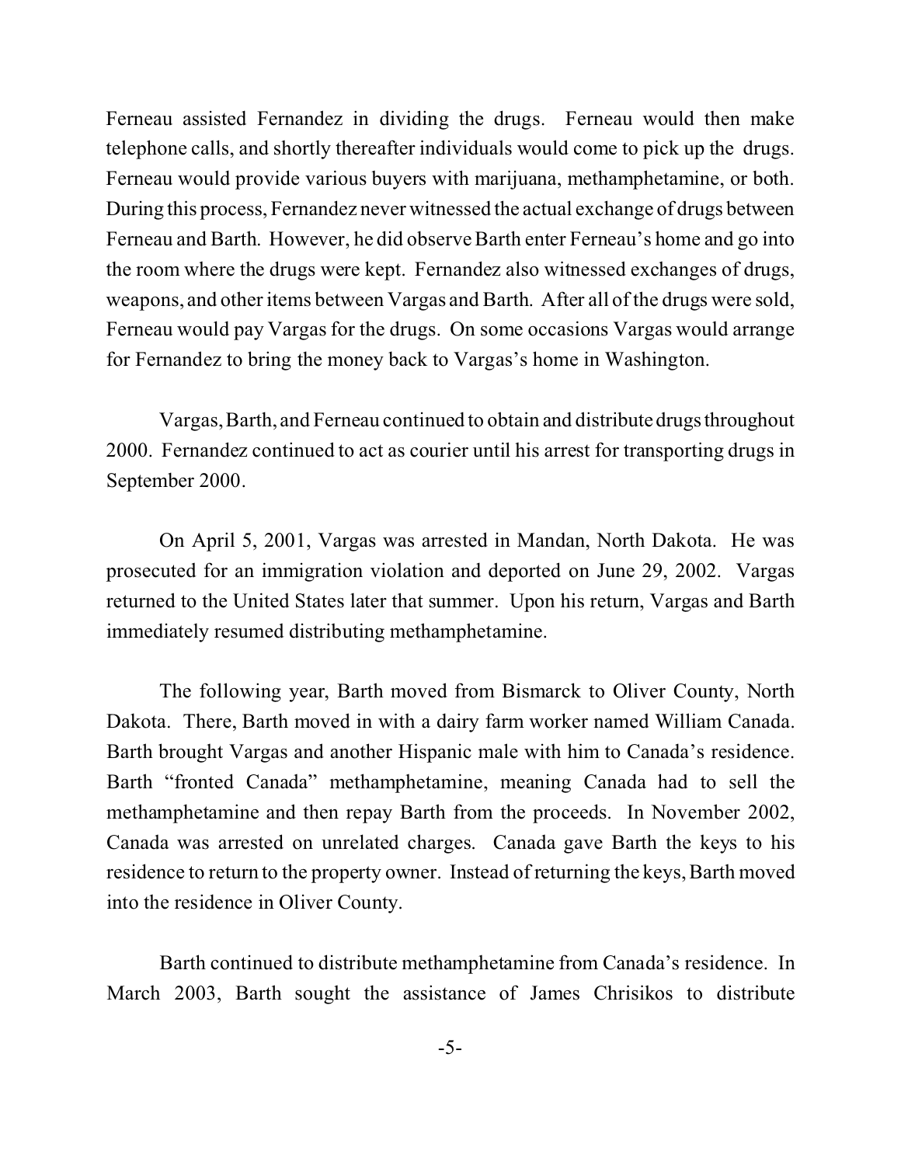Ferneau assisted Fernandez in dividing the drugs. Ferneau would then make telephone calls, and shortly thereafter individuals would come to pick up the drugs. Ferneau would provide various buyers with marijuana, methamphetamine, or both. During this process, Fernandez never witnessed the actual exchange of drugs between Ferneau and Barth. However, he did observe Barth enter Ferneau's home and go into the room where the drugs were kept. Fernandez also witnessed exchanges of drugs, weapons, and other items between Vargas and Barth. After all of the drugs were sold, Ferneau would pay Vargas for the drugs. On some occasions Vargas would arrange for Fernandez to bring the money back to Vargas's home in Washington.

Vargas, Barth, and Ferneau continued to obtain and distributedrugsthroughout 2000. Fernandez continued to act as courier until his arrest for transporting drugs in September 2000.

On April 5, 2001, Vargas was arrested in Mandan, North Dakota. He was prosecuted for an immigration violation and deported on June 29, 2002. Vargas returned to the United States later that summer. Upon his return, Vargas and Barth immediately resumed distributing methamphetamine.

The following year, Barth moved from Bismarck to Oliver County, North Dakota. There, Barth moved in with a dairy farm worker named William Canada. Barth brought Vargas and another Hispanic male with him to Canada's residence. Barth "fronted Canada" methamphetamine, meaning Canada had to sell the methamphetamine and then repay Barth from the proceeds. In November 2002, Canada was arrested on unrelated charges. Canada gave Barth the keys to his residence to return to the property owner. Instead of returning the keys, Barth moved into the residence in Oliver County.

Barth continued to distribute methamphetamine from Canada's residence. In March 2003, Barth sought the assistance of James Chrisikos to distribute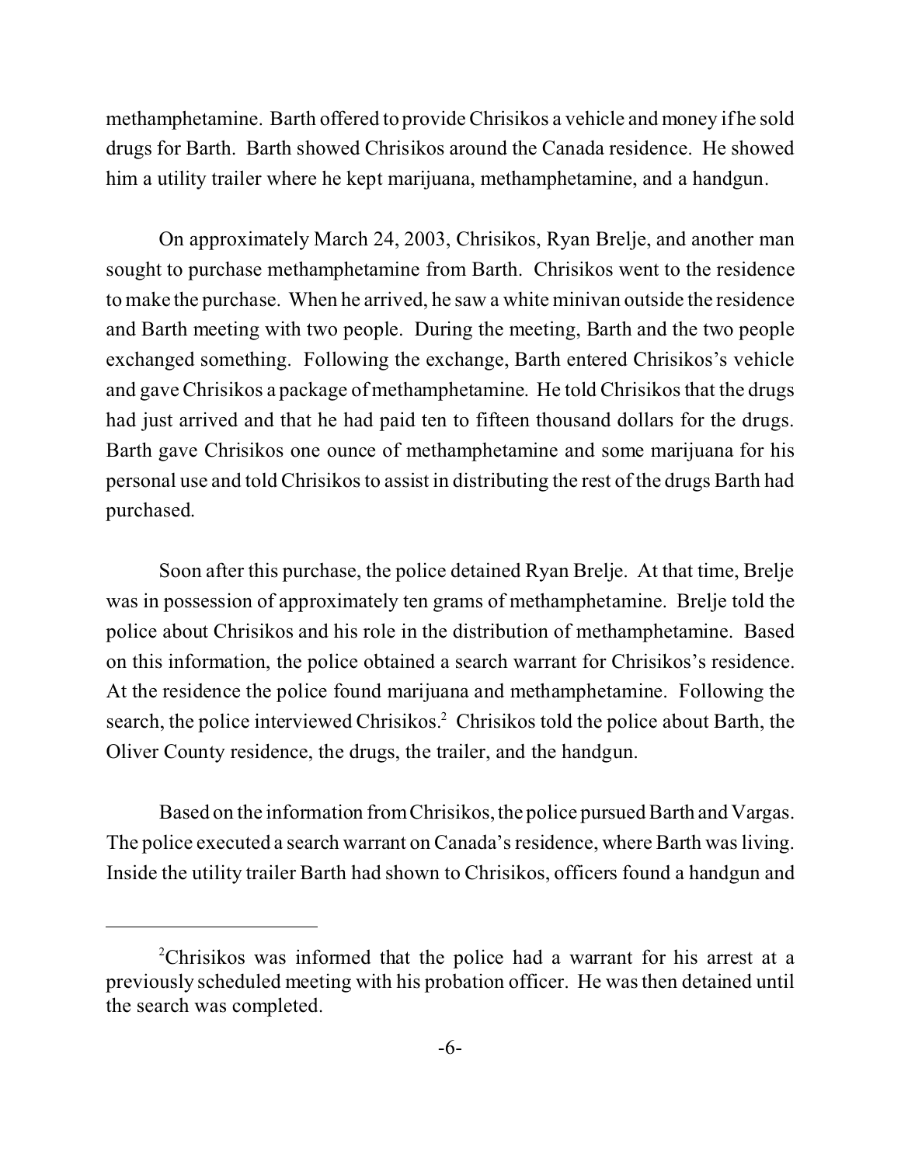methamphetamine. Barth offered to provide Chrisikos a vehicle and money if he sold drugs for Barth. Barth showed Chrisikos around the Canada residence. He showed him a utility trailer where he kept marijuana, methamphetamine, and a handgun.

On approximately March 24, 2003, Chrisikos, Ryan Brelje, and another man sought to purchase methamphetamine from Barth. Chrisikos went to the residence to make the purchase. When he arrived, he saw a white minivan outside the residence and Barth meeting with two people. During the meeting, Barth and the two people exchanged something. Following the exchange, Barth entered Chrisikos's vehicle and gave Chrisikos a package of methamphetamine. He told Chrisikos that the drugs had just arrived and that he had paid ten to fifteen thousand dollars for the drugs. Barth gave Chrisikos one ounce of methamphetamine and some marijuana for his personal use and told Chrisikos to assist in distributing the rest of the drugs Barth had purchased.

Soon after this purchase, the police detained Ryan Brelje. At that time, Brelje was in possession of approximately ten grams of methamphetamine. Brelje told the police about Chrisikos and his role in the distribution of methamphetamine. Based on this information, the police obtained a search warrant for Chrisikos's residence. At the residence the police found marijuana and methamphetamine. Following the search, the police interviewed Chrisikos.<sup>2</sup> Chrisikos told the police about Barth, the Oliver County residence, the drugs, the trailer, and the handgun.

Based on the information from Chrisikos, the police pursued Barth and Vargas. The police executed a search warrant on Canada's residence, where Barth was living. Inside the utility trailer Barth had shown to Chrisikos, officers found a handgun and

<sup>2</sup>Chrisikos was informed that the police had a warrant for his arrest at a previously scheduled meeting with his probation officer. He was then detained until the search was completed.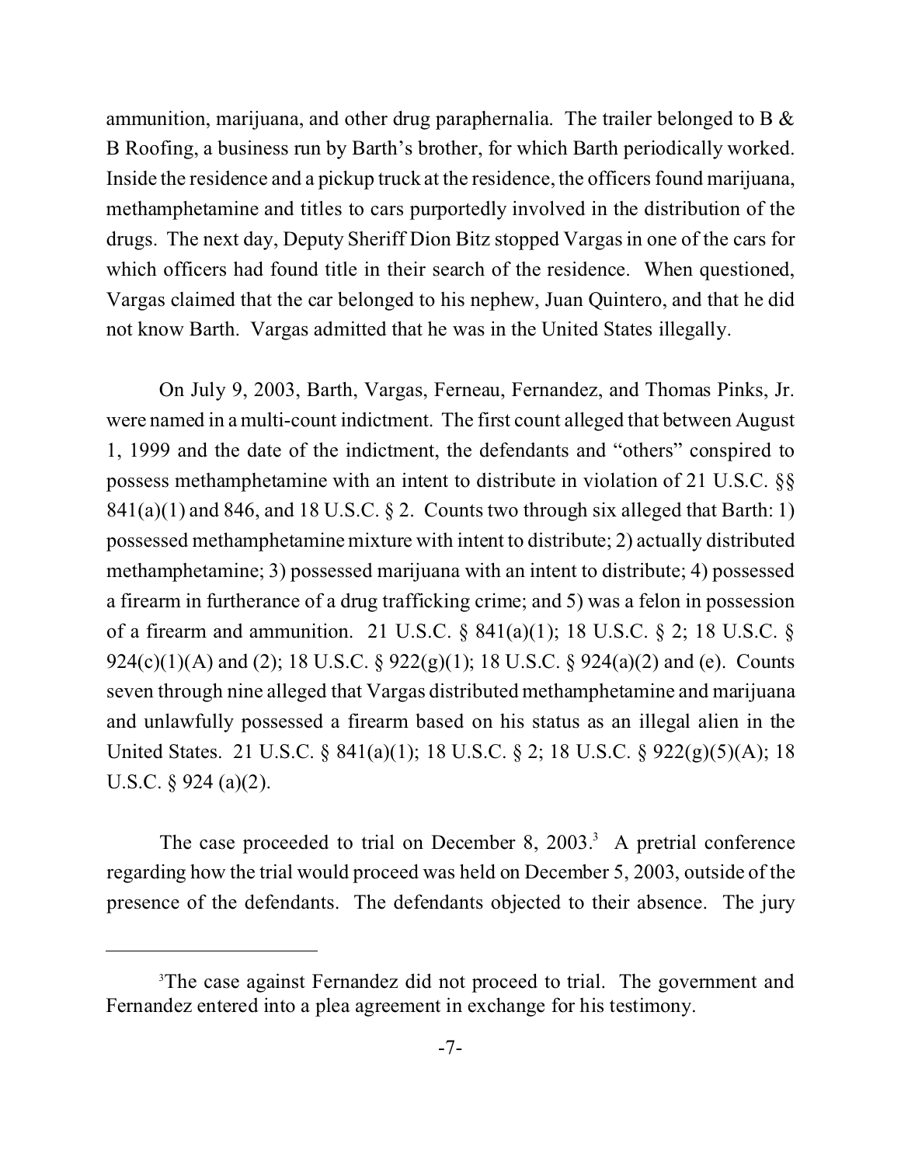ammunition, marijuana, and other drug paraphernalia. The trailer belonged to B & B Roofing, a business run by Barth's brother, for which Barth periodically worked. Inside the residence and a pickup truck at the residence, the officers found marijuana, methamphetamine and titles to cars purportedly involved in the distribution of the drugs. The next day, Deputy Sheriff Dion Bitz stopped Vargas in one of the cars for which officers had found title in their search of the residence. When questioned, Vargas claimed that the car belonged to his nephew, Juan Quintero, and that he did not know Barth. Vargas admitted that he was in the United States illegally.

On July 9, 2003, Barth, Vargas, Ferneau, Fernandez, and Thomas Pinks, Jr. were named in a multi-count indictment. The first count alleged that between August 1, 1999 and the date of the indictment, the defendants and "others" conspired to possess methamphetamine with an intent to distribute in violation of 21 U.S.C. §§  $841(a)(1)$  and  $846$ , and  $18$  U.S.C. § 2. Counts two through six alleged that Barth: 1) possessed methamphetamine mixture with intent to distribute; 2) actually distributed methamphetamine; 3) possessed marijuana with an intent to distribute; 4) possessed a firearm in furtherance of a drug trafficking crime; and 5) was a felon in possession of a firearm and ammunition. 21 U.S.C. § 841(a)(1); 18 U.S.C. § 2; 18 U.S.C. § 924(c)(1)(A) and (2); 18 U.S.C. § 922(g)(1); 18 U.S.C. § 924(a)(2) and (e). Counts seven through nine alleged that Vargas distributed methamphetamine and marijuana and unlawfully possessed a firearm based on his status as an illegal alien in the United States. 21 U.S.C. § 841(a)(1); 18 U.S.C. § 2; 18 U.S.C. § 922(g)(5)(A); 18 U.S.C.  $\S$  924 (a)(2).

The case proceeded to trial on December 8,  $2003$ .<sup>3</sup> A pretrial conference regarding how the trial would proceed was held on December 5, 2003, outside of the presence of the defendants. The defendants objected to their absence. The jury

<sup>&</sup>lt;sup>3</sup>The case against Fernandez did not proceed to trial. The government and Fernandez entered into a plea agreement in exchange for his testimony.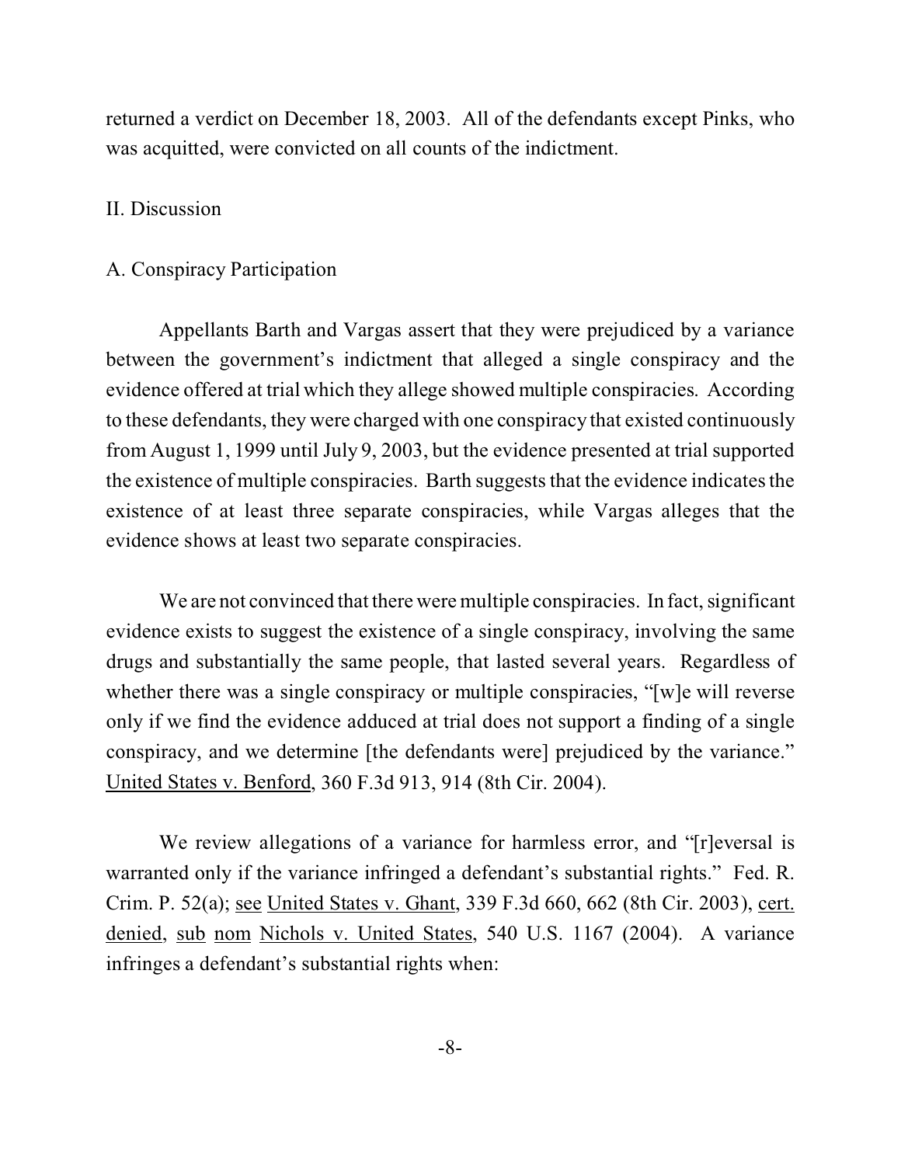returned a verdict on December 18, 2003. All of the defendants except Pinks, who was acquitted, were convicted on all counts of the indictment.

#### II. Discussion

#### A. Conspiracy Participation

Appellants Barth and Vargas assert that they were prejudiced by a variance between the government's indictment that alleged a single conspiracy and the evidence offered at trial which they allege showed multiple conspiracies. According to these defendants, they were charged with one conspiracy that existed continuously from August 1, 1999 until July 9, 2003, but the evidence presented at trial supported the existence of multiple conspiracies. Barth suggests that the evidence indicates the existence of at least three separate conspiracies, while Vargas alleges that the evidence shows at least two separate conspiracies.

We are not convinced that there were multiple conspiracies. In fact, significant evidence exists to suggest the existence of a single conspiracy, involving the same drugs and substantially the same people, that lasted several years. Regardless of whether there was a single conspiracy or multiple conspiracies, "[w]e will reverse only if we find the evidence adduced at trial does not support a finding of a single conspiracy, and we determine [the defendants were] prejudiced by the variance." United States v. Benford, 360 F.3d 913, 914 (8th Cir. 2004).

We review allegations of a variance for harmless error, and "[r]eversal is warranted only if the variance infringed a defendant's substantial rights." Fed. R. Crim. P. 52(a); see United States v. Ghant, 339 F.3d 660, 662 (8th Cir. 2003), cert. denied, sub nom Nichols v. United States, 540 U.S. 1167 (2004). A variance infringes a defendant's substantial rights when: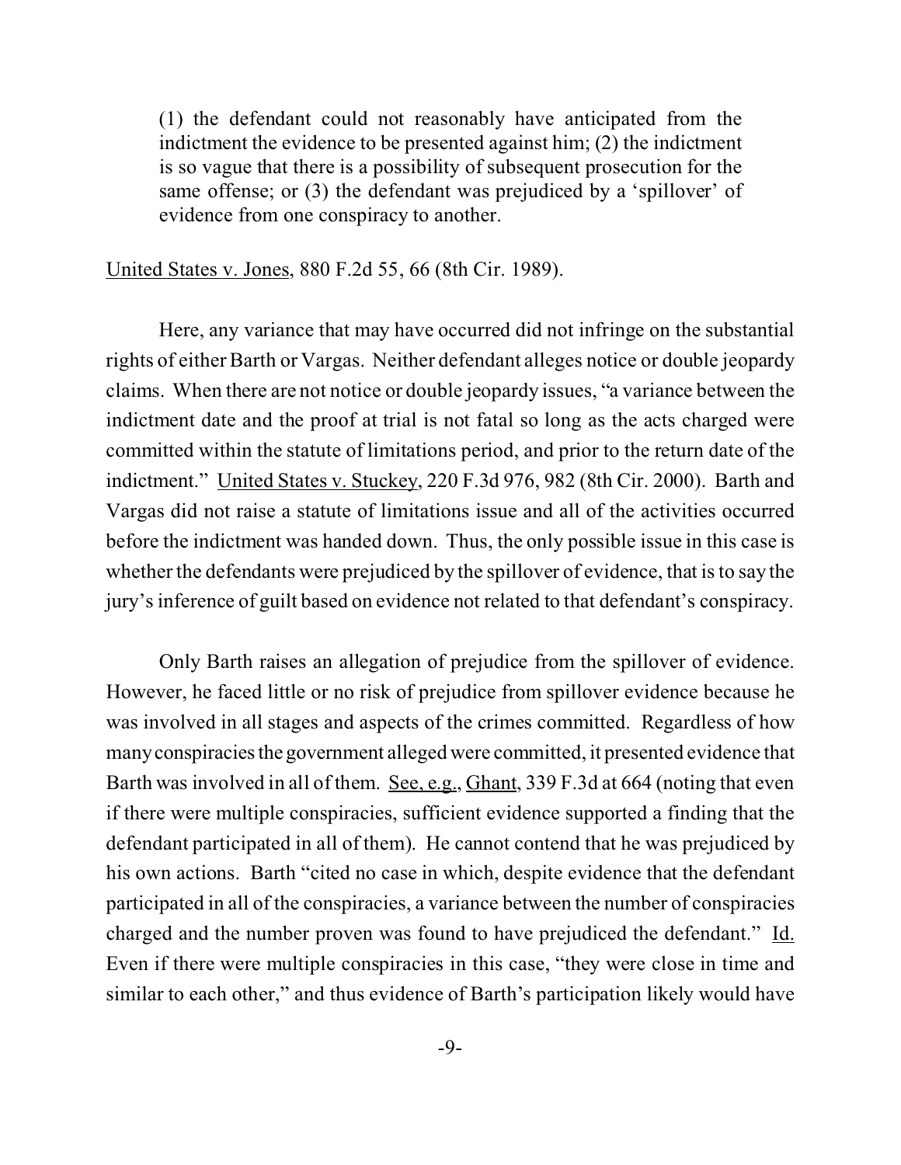(1) the defendant could not reasonably have anticipated from the indictment the evidence to be presented against him; (2) the indictment is so vague that there is a possibility of subsequent prosecution for the same offense; or (3) the defendant was prejudiced by a 'spillover' of evidence from one conspiracy to another.

United States v. Jones, 880 F.2d 55, 66 (8th Cir. 1989).

Here, any variance that may have occurred did not infringe on the substantial rights of either Barth or Vargas. Neither defendant alleges notice or double jeopardy claims. When there are not notice or double jeopardy issues, "a variance between the indictment date and the proof at trial is not fatal so long as the acts charged were committed within the statute of limitations period, and prior to the return date of the indictment." United States v. Stuckey, 220 F.3d 976, 982 (8th Cir. 2000). Barth and Vargas did not raise a statute of limitations issue and all of the activities occurred before the indictment was handed down. Thus, the only possible issue in this case is whether the defendants were prejudiced by the spillover of evidence, that is to say the jury's inference of guilt based on evidence not related to that defendant's conspiracy.

Only Barth raises an allegation of prejudice from the spillover of evidence. However, he faced little or no risk of prejudice from spillover evidence because he was involved in all stages and aspects of the crimes committed. Regardless of how manyconspiraciesthe government alleged were committed, it presented evidence that Barth was involved in all of them. See, e.g., Ghant, 339 F.3d at 664 (noting that even if there were multiple conspiracies, sufficient evidence supported a finding that the defendant participated in all of them). He cannot contend that he was prejudiced by his own actions. Barth "cited no case in which, despite evidence that the defendant participated in all of the conspiracies, a variance between the number of conspiracies charged and the number proven was found to have prejudiced the defendant." Id. Even if there were multiple conspiracies in this case, "they were close in time and similar to each other," and thus evidence of Barth's participation likely would have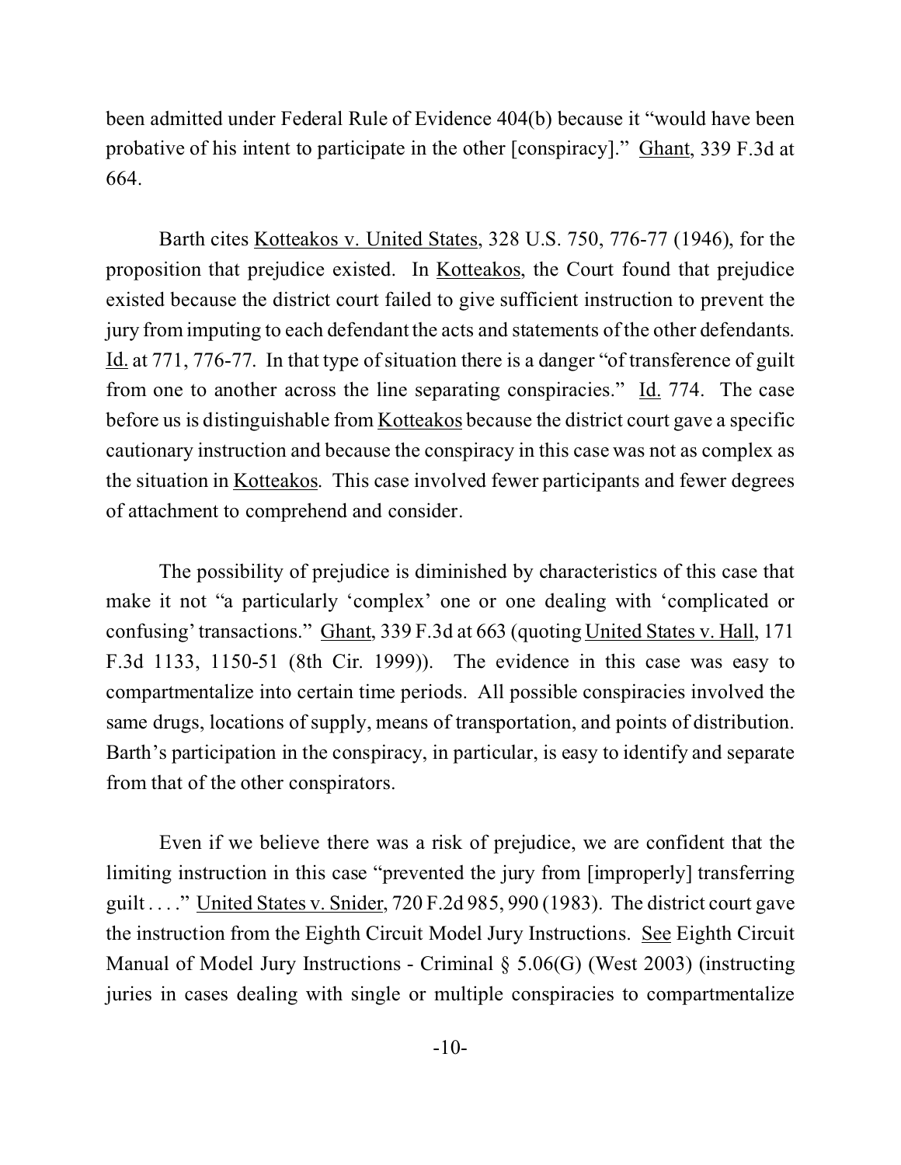been admitted under Federal Rule of Evidence 404(b) because it "would have been probative of his intent to participate in the other [conspiracy]." Ghant, 339 F.3d at 664.

Barth cites Kotteakos v. United States, 328 U.S. 750, 776-77 (1946), for the proposition that prejudice existed. In Kotteakos, the Court found that prejudice existed because the district court failed to give sufficient instruction to prevent the jury from imputing to each defendant the acts and statements of the other defendants. Id. at 771, 776-77. In that type of situation there is a danger "of transference of guilt from one to another across the line separating conspiracies." Id. 774. The case before us is distinguishable from Kotteakos because the district court gave a specific cautionary instruction and because the conspiracy in this case was not as complex as the situation in Kotteakos. This case involved fewer participants and fewer degrees of attachment to comprehend and consider.

The possibility of prejudice is diminished by characteristics of this case that make it not "a particularly 'complex' one or one dealing with 'complicated or confusing' transactions." Ghant, 339 F.3d at 663 (quoting United States v. Hall, 171 F.3d 1133, 1150-51 (8th Cir. 1999)). The evidence in this case was easy to compartmentalize into certain time periods. All possible conspiracies involved the same drugs, locations of supply, means of transportation, and points of distribution. Barth's participation in the conspiracy, in particular, is easy to identify and separate from that of the other conspirators.

Even if we believe there was a risk of prejudice, we are confident that the limiting instruction in this case "prevented the jury from [improperly] transferring guilt . . . ." United States v. Snider, 720 F.2d 985, 990 (1983). The district court gave the instruction from the Eighth Circuit Model Jury Instructions. See Eighth Circuit Manual of Model Jury Instructions - Criminal § 5.06(G) (West 2003) (instructing juries in cases dealing with single or multiple conspiracies to compartmentalize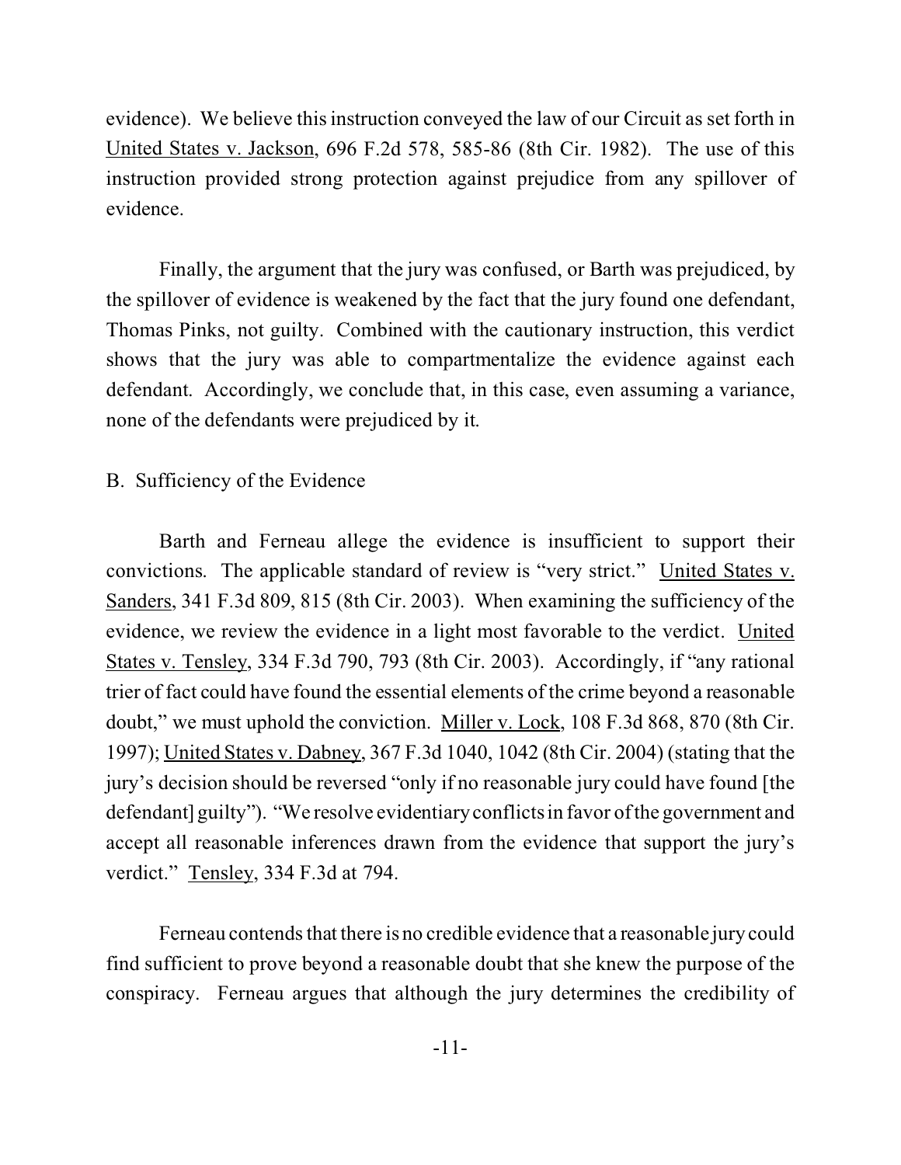evidence). We believe this instruction conveyed the law of our Circuit as set forth in United States v. Jackson, 696 F.2d 578, 585-86 (8th Cir. 1982). The use of this instruction provided strong protection against prejudice from any spillover of evidence.

Finally, the argument that the jury was confused, or Barth was prejudiced, by the spillover of evidence is weakened by the fact that the jury found one defendant, Thomas Pinks, not guilty. Combined with the cautionary instruction, this verdict shows that the jury was able to compartmentalize the evidence against each defendant. Accordingly, we conclude that, in this case, even assuming a variance, none of the defendants were prejudiced by it.

### B. Sufficiency of the Evidence

Barth and Ferneau allege the evidence is insufficient to support their convictions. The applicable standard of review is "very strict." United States v. Sanders, 341 F.3d 809, 815 (8th Cir. 2003). When examining the sufficiency of the evidence, we review the evidence in a light most favorable to the verdict. United States v. Tensley, 334 F.3d 790, 793 (8th Cir. 2003). Accordingly, if "any rational trier of fact could have found the essential elements of the crime beyond a reasonable doubt," we must uphold the conviction. Miller v. Lock, 108 F.3d 868, 870 (8th Cir. 1997); United States v. Dabney, 367 F.3d 1040, 1042 (8th Cir. 2004) (stating that the jury's decision should be reversed "only if no reasonable jury could have found [the defendant] guilty"). "We resolve evidentiary conflicts in favor of the government and accept all reasonable inferences drawn from the evidence that support the jury's verdict." Tensley, 334 F.3d at 794.

Ferneau contends that there is no credible evidence that a reasonable jury could find sufficient to prove beyond a reasonable doubt that she knew the purpose of the conspiracy. Ferneau argues that although the jury determines the credibility of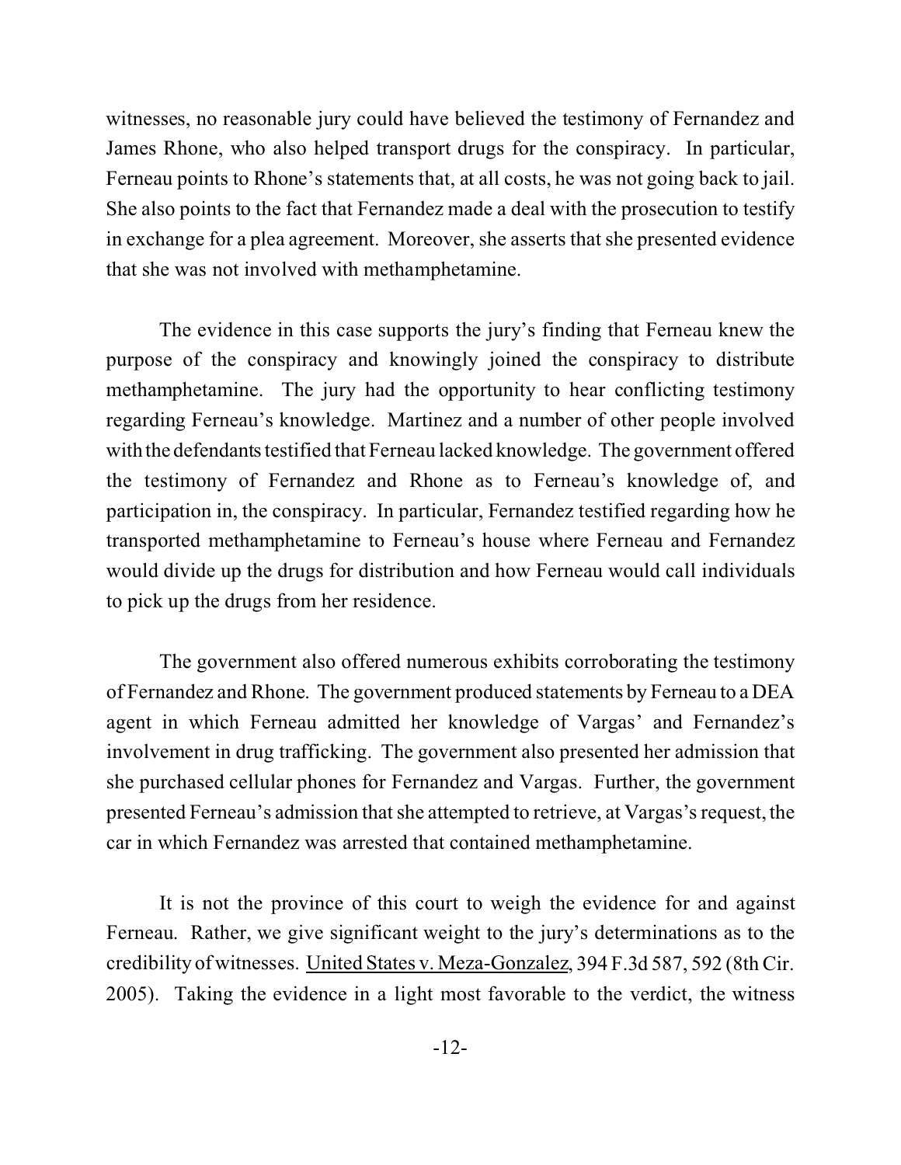witnesses, no reasonable jury could have believed the testimony of Fernandez and James Rhone, who also helped transport drugs for the conspiracy. In particular, Ferneau points to Rhone's statements that, at all costs, he was not going back to jail. She also points to the fact that Fernandez made a deal with the prosecution to testify in exchange for a plea agreement. Moreover, she asserts that she presented evidence that she was not involved with methamphetamine.

The evidence in this case supports the jury's finding that Ferneau knew the purpose of the conspiracy and knowingly joined the conspiracy to distribute methamphetamine. The jury had the opportunity to hear conflicting testimony regarding Ferneau's knowledge. Martinez and a number of other people involved with the defendants testified that Ferneau lacked knowledge. The government offered the testimony of Fernandez and Rhone as to Ferneau's knowledge of, and participation in, the conspiracy. In particular, Fernandez testified regarding how he transported methamphetamine to Ferneau's house where Ferneau and Fernandez would divide up the drugs for distribution and how Ferneau would call individuals to pick up the drugs from her residence.

The government also offered numerous exhibits corroborating the testimony of Fernandez and Rhone. The government produced statements by Ferneau to a DEA agent in which Ferneau admitted her knowledge of Vargas' and Fernandez's involvement in drug trafficking. The government also presented her admission that she purchased cellular phones for Fernandez and Vargas. Further, the government presented Ferneau's admission that she attempted to retrieve, at Vargas's request, the car in which Fernandez was arrested that contained methamphetamine.

It is not the province of this court to weigh the evidence for and against Ferneau. Rather, we give significant weight to the jury's determinations as to the credibility of witnesses. United States v. Meza-Gonzalez, 394 F.3d 587, 592 (8th Cir. 2005). Taking the evidence in a light most favorable to the verdict, the witness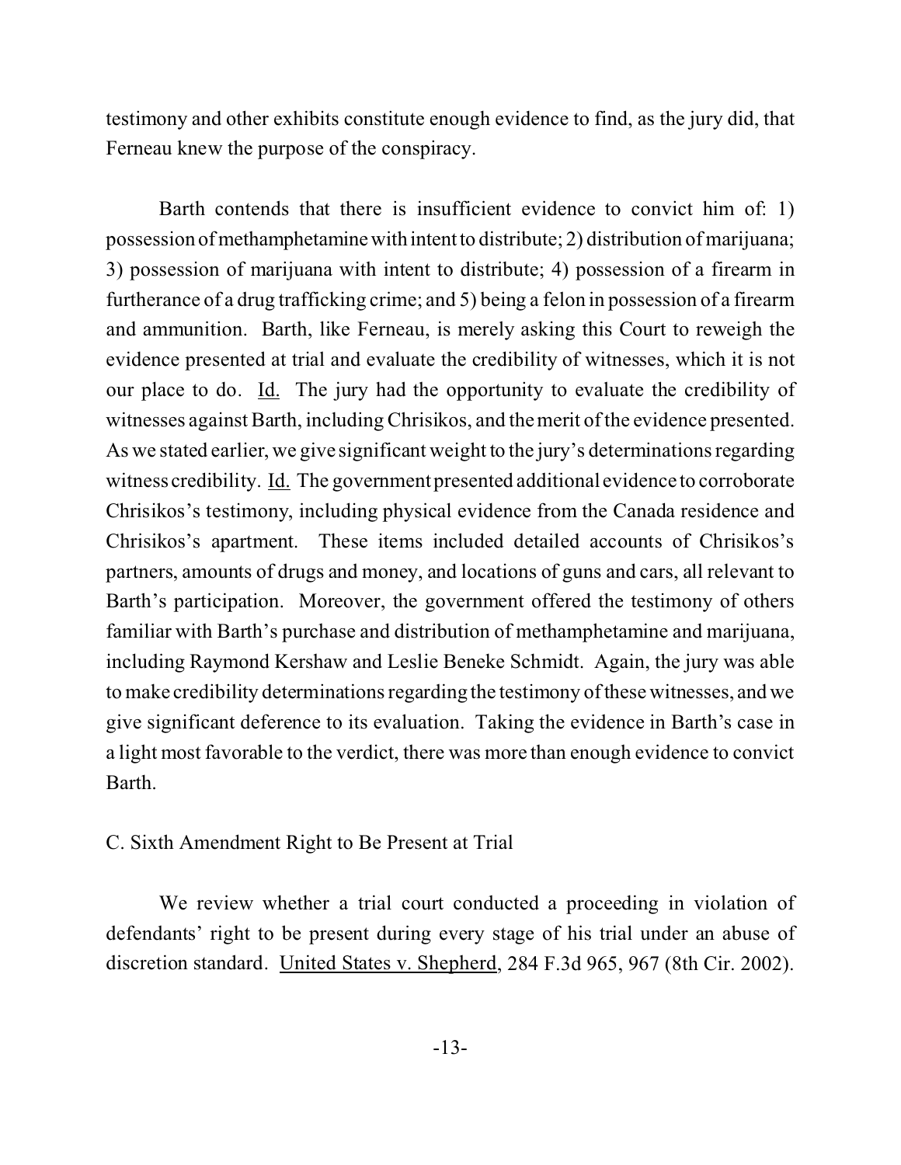testimony and other exhibits constitute enough evidence to find, as the jury did, that Ferneau knew the purpose of the conspiracy.

Barth contends that there is insufficient evidence to convict him of: 1) possession of methamphetaminewith intentto distribute; 2) distribution of marijuana; 3) possession of marijuana with intent to distribute; 4) possession of a firearm in furtherance of a drug trafficking crime; and 5) being a felon in possession of a firearm and ammunition. Barth, like Ferneau, is merely asking this Court to reweigh the evidence presented at trial and evaluate the credibility of witnesses, which it is not our place to do. Id. The jury had the opportunity to evaluate the credibility of witnesses against Barth, including Chrisikos, and the merit of the evidence presented. As we stated earlier, we give significant weight to the jury's determinations regarding witness credibility. Id. The government presented additional evidence to corroborate Chrisikos's testimony, including physical evidence from the Canada residence and Chrisikos's apartment. These items included detailed accounts of Chrisikos's partners, amounts of drugs and money, and locations of guns and cars, all relevant to Barth's participation. Moreover, the government offered the testimony of others familiar with Barth's purchase and distribution of methamphetamine and marijuana, including Raymond Kershaw and Leslie Beneke Schmidt. Again, the jury was able to make credibility determinations regarding the testimony of these witnesses, and we give significant deference to its evaluation. Taking the evidence in Barth's case in a light most favorable to the verdict, there was more than enough evidence to convict Barth.

## C. Sixth Amendment Right to Be Present at Trial

We review whether a trial court conducted a proceeding in violation of defendants' right to be present during every stage of his trial under an abuse of discretion standard. United States v. Shepherd, 284 F.3d 965, 967 (8th Cir. 2002).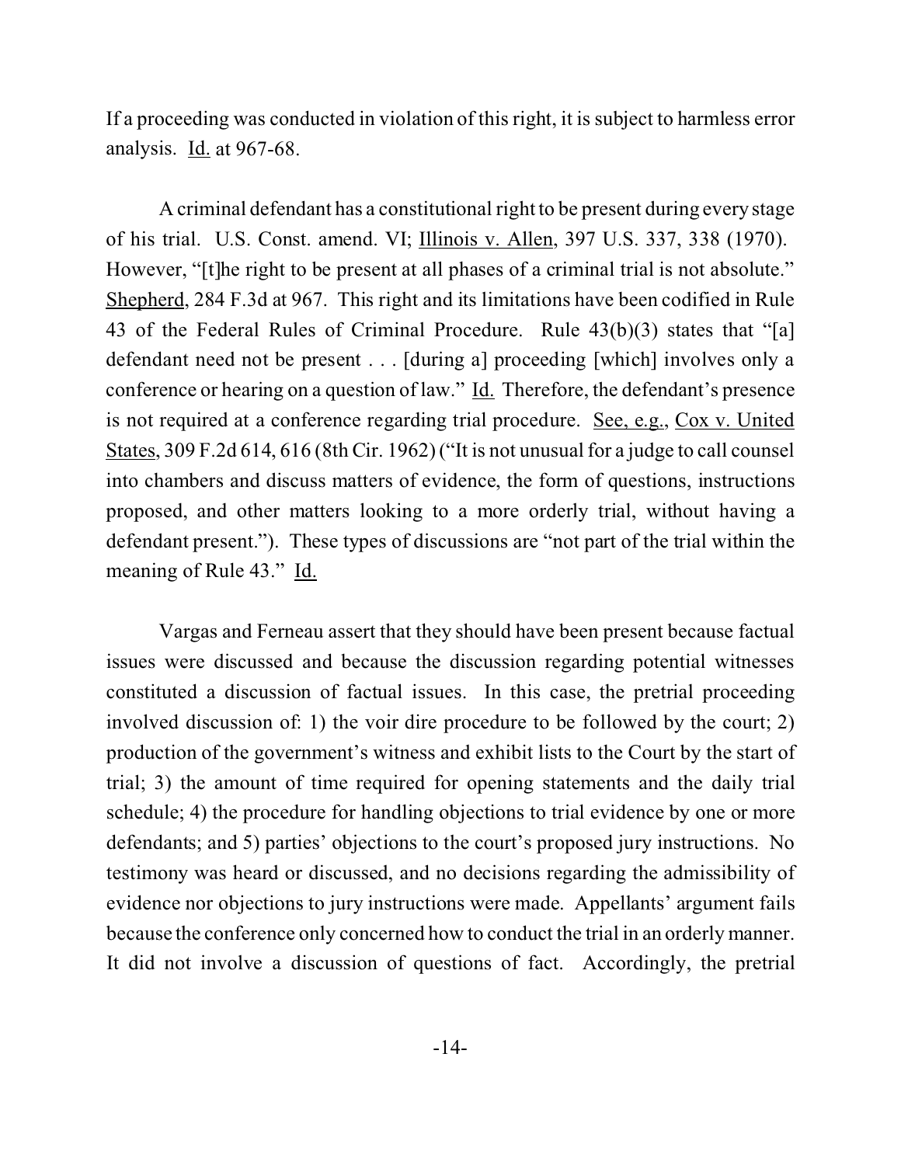If a proceeding was conducted in violation of this right, it is subject to harmless error analysis. Id. at 967-68.

A criminal defendant has a constitutional right to be present during every stage of his trial. U.S. Const. amend. VI; Illinois v. Allen, 397 U.S. 337, 338 (1970). However, "[t]he right to be present at all phases of a criminal trial is not absolute." Shepherd, 284 F.3d at 967. This right and its limitations have been codified in Rule 43 of the Federal Rules of Criminal Procedure. Rule 43(b)(3) states that "[a] defendant need not be present . . . [during a] proceeding [which] involves only a conference or hearing on a question of law." Id. Therefore, the defendant's presence is not required at a conference regarding trial procedure. See, e.g., Cox v. United States, 309 F.2d 614, 616 (8th Cir. 1962) ("It is not unusual for a judge to call counsel into chambers and discuss matters of evidence, the form of questions, instructions proposed, and other matters looking to a more orderly trial, without having a defendant present."). These types of discussions are "not part of the trial within the meaning of Rule 43." Id.

Vargas and Ferneau assert that they should have been present because factual issues were discussed and because the discussion regarding potential witnesses constituted a discussion of factual issues. In this case, the pretrial proceeding involved discussion of: 1) the voir dire procedure to be followed by the court; 2) production of the government's witness and exhibit lists to the Court by the start of trial; 3) the amount of time required for opening statements and the daily trial schedule; 4) the procedure for handling objections to trial evidence by one or more defendants; and 5) parties' objections to the court's proposed jury instructions. No testimony was heard or discussed, and no decisions regarding the admissibility of evidence nor objections to jury instructions were made. Appellants' argument fails because the conference only concerned how to conduct the trial in an orderly manner. It did not involve a discussion of questions of fact. Accordingly, the pretrial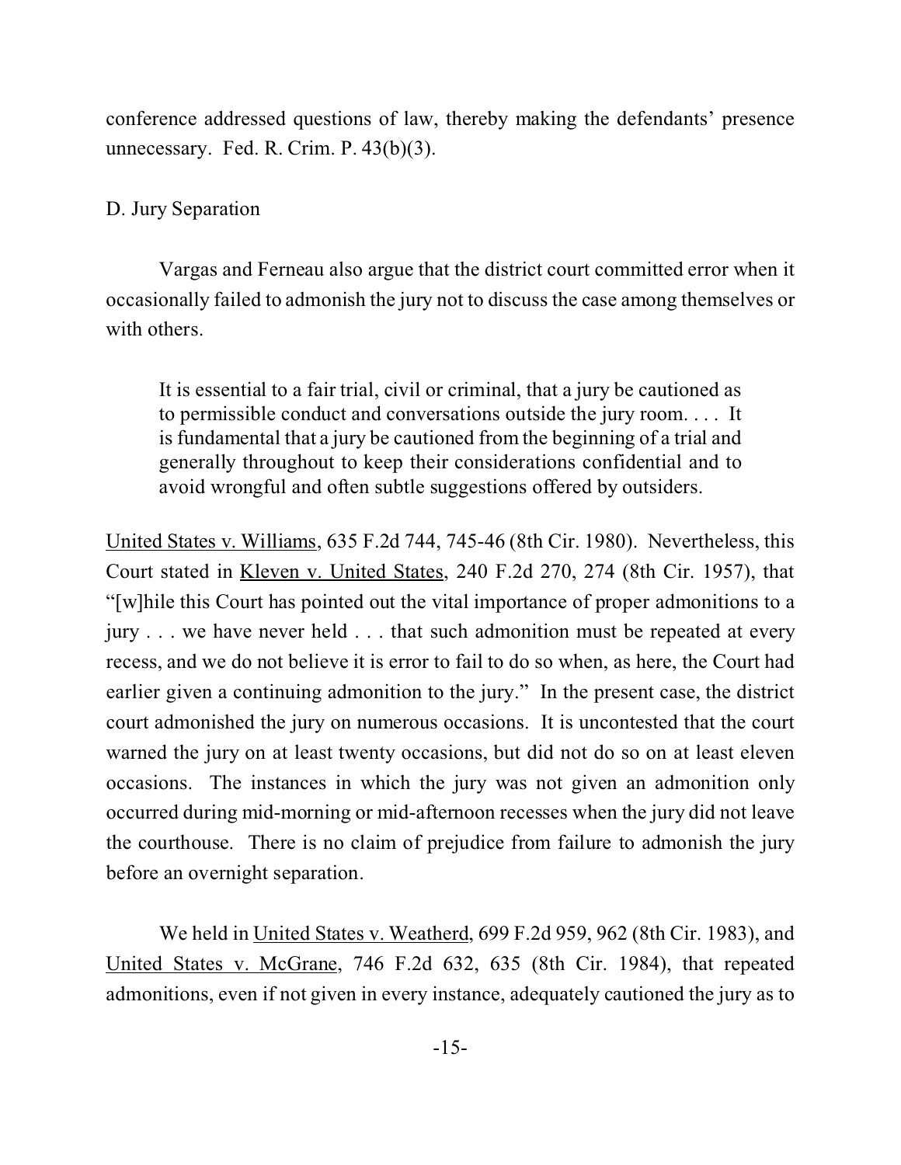conference addressed questions of law, thereby making the defendants' presence unnecessary. Fed. R. Crim. P. 43(b)(3).

## D. Jury Separation

Vargas and Ferneau also argue that the district court committed error when it occasionally failed to admonish the jury not to discuss the case among themselves or with others.

It is essential to a fair trial, civil or criminal, that a jury be cautioned as to permissible conduct and conversations outside the jury room. . . . It is fundamental that a jury be cautioned from the beginning of a trial and generally throughout to keep their considerations confidential and to avoid wrongful and often subtle suggestions offered by outsiders.

United States v. Williams, 635 F.2d 744, 745-46 (8th Cir. 1980). Nevertheless, this Court stated in Kleven v. United States, 240 F.2d 270, 274 (8th Cir. 1957), that "[w]hile this Court has pointed out the vital importance of proper admonitions to a jury . . . we have never held . . . that such admonition must be repeated at every recess, and we do not believe it is error to fail to do so when, as here, the Court had earlier given a continuing admonition to the jury." In the present case, the district court admonished the jury on numerous occasions. It is uncontested that the court warned the jury on at least twenty occasions, but did not do so on at least eleven occasions. The instances in which the jury was not given an admonition only occurred during mid-morning or mid-afternoon recesses when the jury did not leave the courthouse. There is no claim of prejudice from failure to admonish the jury before an overnight separation.

We held in United States v. Weatherd, 699 F.2d 959, 962 (8th Cir. 1983), and United States v. McGrane, 746 F.2d 632, 635 (8th Cir. 1984), that repeated admonitions, even if not given in every instance, adequately cautioned the jury as to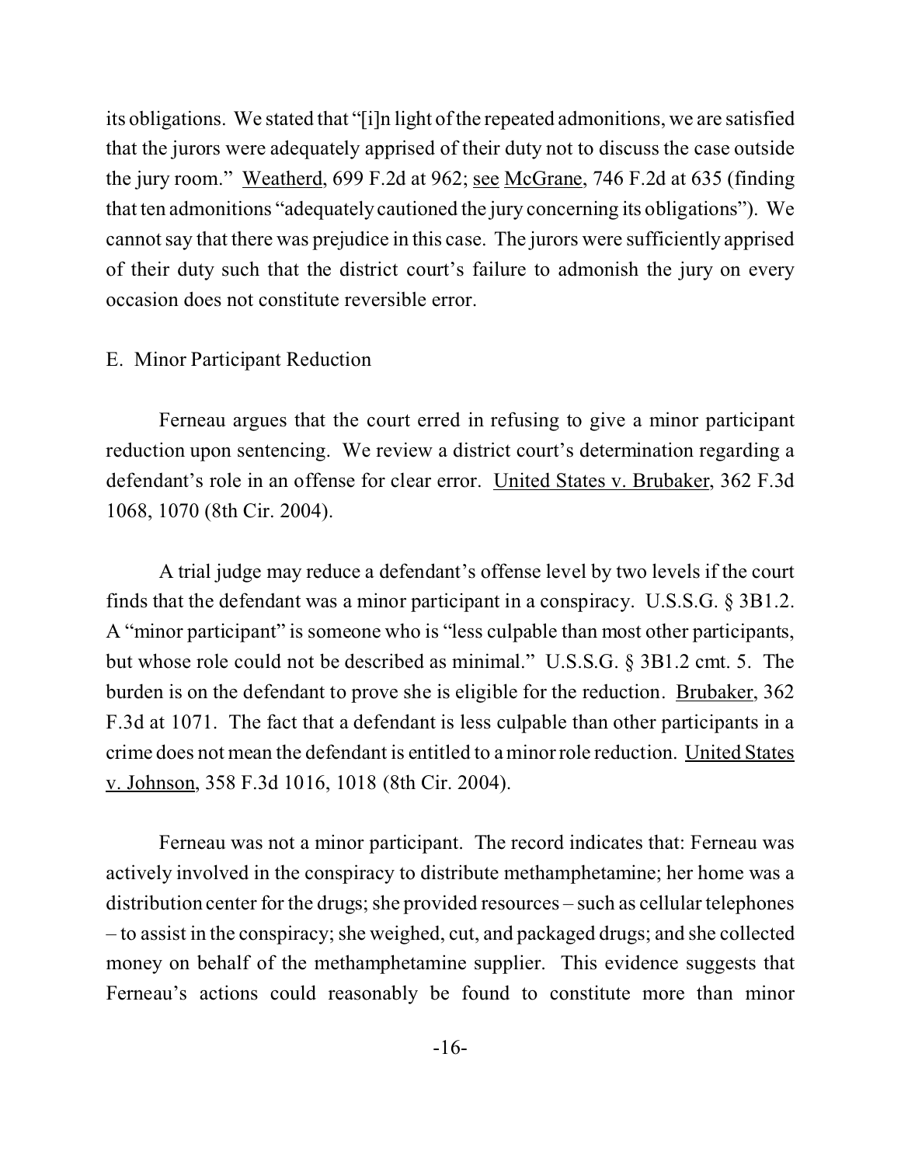its obligations. We stated that "[i]n light of the repeated admonitions, we are satisfied that the jurors were adequately apprised of their duty not to discuss the case outside the jury room." Weatherd, 699 F.2d at 962; see McGrane, 746 F.2d at 635 (finding that ten admonitions "adequately cautioned the jury concerning its obligations"). We cannot say that there was prejudice in this case. The jurors were sufficiently apprised of their duty such that the district court's failure to admonish the jury on every occasion does not constitute reversible error.

#### E. Minor Participant Reduction

Ferneau argues that the court erred in refusing to give a minor participant reduction upon sentencing. We review a district court's determination regarding a defendant's role in an offense for clear error. United States v. Brubaker, 362 F.3d 1068, 1070 (8th Cir. 2004).

A trial judge may reduce a defendant's offense level by two levels if the court finds that the defendant was a minor participant in a conspiracy. U.S.S.G. § 3B1.2. A "minor participant" is someone who is "less culpable than most other participants, but whose role could not be described as minimal." U.S.S.G. § 3B1.2 cmt. 5. The burden is on the defendant to prove she is eligible for the reduction. Brubaker, 362 F.3d at 1071. The fact that a defendant is less culpable than other participants in a crime does not mean the defendant is entitled to a minor role reduction. United States v. Johnson, 358 F.3d 1016, 1018 (8th Cir. 2004).

Ferneau was not a minor participant. The record indicates that: Ferneau was actively involved in the conspiracy to distribute methamphetamine; her home was a distribution center for the drugs; she provided resources – such as cellular telephones – to assist in the conspiracy; she weighed, cut, and packaged drugs; and she collected money on behalf of the methamphetamine supplier. This evidence suggests that Ferneau's actions could reasonably be found to constitute more than minor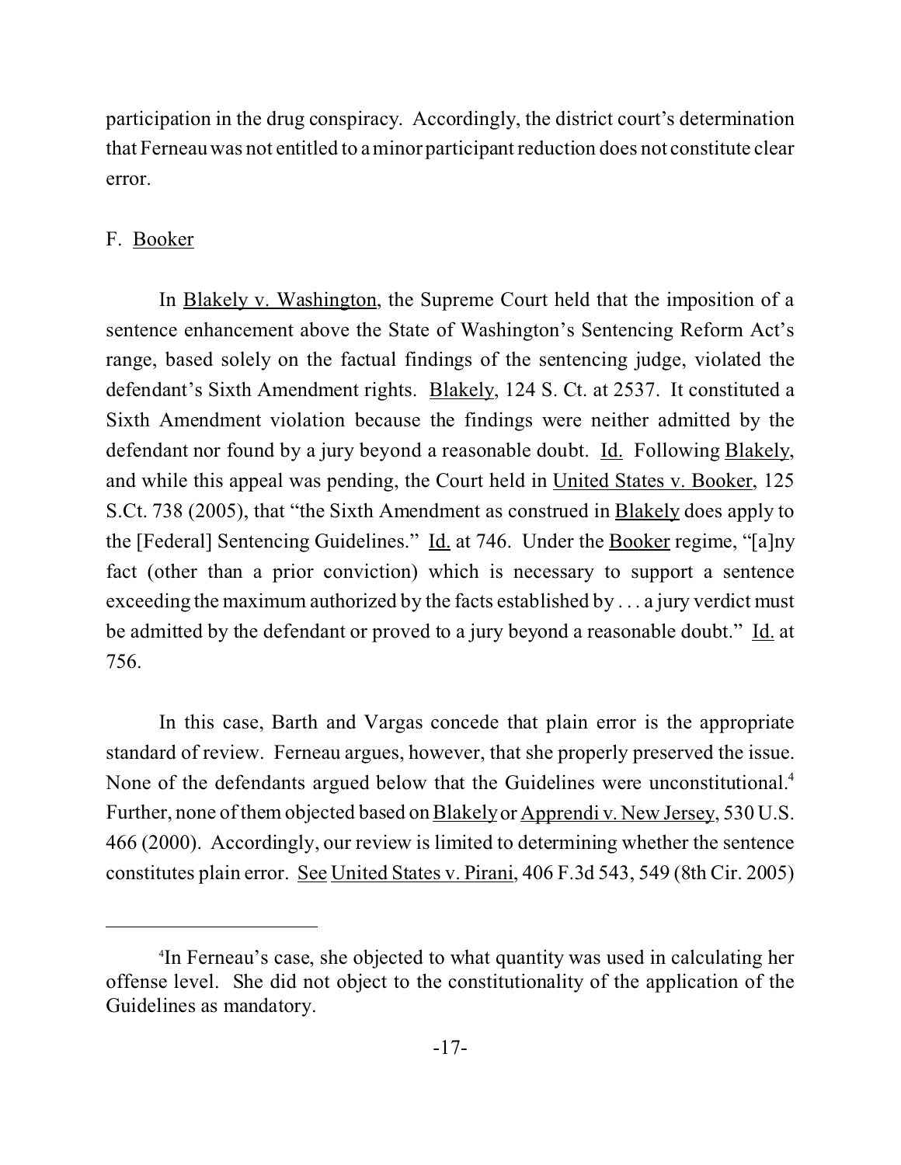participation in the drug conspiracy. Accordingly, the district court's determination that Ferneau was not entitled to a minor participant reduction does not constitute clear error.

## F. Booker

In Blakely v. Washington, the Supreme Court held that the imposition of a sentence enhancement above the State of Washington's Sentencing Reform Act's range, based solely on the factual findings of the sentencing judge, violated the defendant's Sixth Amendment rights. Blakely, 124 S. Ct. at 2537. It constituted a Sixth Amendment violation because the findings were neither admitted by the defendant nor found by a jury beyond a reasonable doubt. Id. Following Blakely, and while this appeal was pending, the Court held in United States v. Booker, 125 S.Ct. 738 (2005), that "the Sixth Amendment as construed in Blakely does apply to the [Federal] Sentencing Guidelines." Id. at 746. Under the Booker regime, "[a]ny fact (other than a prior conviction) which is necessary to support a sentence exceeding the maximum authorized by the facts established by . . . a jury verdict must be admitted by the defendant or proved to a jury beyond a reasonable doubt." Id. at 756.

In this case, Barth and Vargas concede that plain error is the appropriate standard of review. Ferneau argues, however, that she properly preserved the issue. None of the defendants argued below that the Guidelines were unconstitutional.<sup>4</sup> Further, none of them objected based on Blakely or Apprendi v. New Jersey, 530 U.S. 466 (2000). Accordingly, our review is limited to determining whether the sentence constitutes plain error. See United States v. Pirani, 406 F.3d 543, 549 (8th Cir. 2005)

<sup>4</sup> In Ferneau's case, she objected to what quantity was used in calculating her offense level. She did not object to the constitutionality of the application of the Guidelines as mandatory.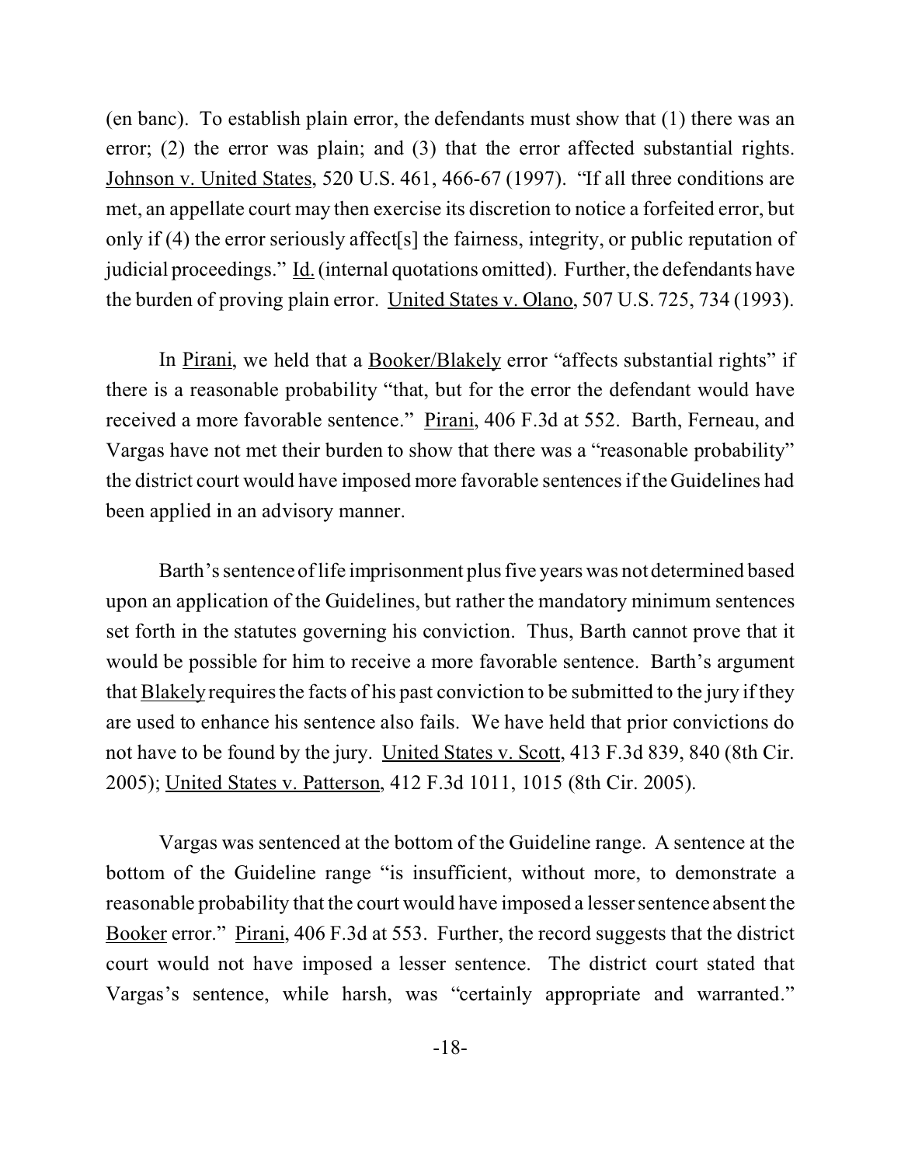(en banc). To establish plain error, the defendants must show that (1) there was an error; (2) the error was plain; and (3) that the error affected substantial rights. Johnson v. United States, 520 U.S. 461, 466-67 (1997). "If all three conditions are met, an appellate court may then exercise its discretion to notice a forfeited error, but only if (4) the error seriously affect[s] the fairness, integrity, or public reputation of judicial proceedings." Id. (internal quotations omitted). Further, the defendants have the burden of proving plain error. United States v. Olano, 507 U.S. 725, 734 (1993).

In Pirani, we held that a Booker/Blakely error "affects substantial rights" if there is a reasonable probability "that, but for the error the defendant would have received a more favorable sentence." Pirani, 406 F.3d at 552. Barth, Ferneau, and Vargas have not met their burden to show that there was a "reasonable probability" the district court would have imposed more favorable sentences if the Guidelines had been applied in an advisory manner.

Barth's sentence of life imprisonment plus five years was not determined based upon an application of the Guidelines, but rather the mandatory minimum sentences set forth in the statutes governing his conviction. Thus, Barth cannot prove that it would be possible for him to receive a more favorable sentence. Barth's argument that Blakely requires the facts of his past conviction to be submitted to the jury if they are used to enhance his sentence also fails. We have held that prior convictions do not have to be found by the jury. United States v. Scott, 413 F.3d 839, 840 (8th Cir. 2005); United States v. Patterson, 412 F.3d 1011, 1015 (8th Cir. 2005).

Vargas was sentenced at the bottom of the Guideline range. A sentence at the bottom of the Guideline range "is insufficient, without more, to demonstrate a reasonable probability that the court would have imposed a lesser sentence absent the Booker error." Pirani, 406 F.3d at 553. Further, the record suggests that the district court would not have imposed a lesser sentence. The district court stated that Vargas's sentence, while harsh, was "certainly appropriate and warranted."